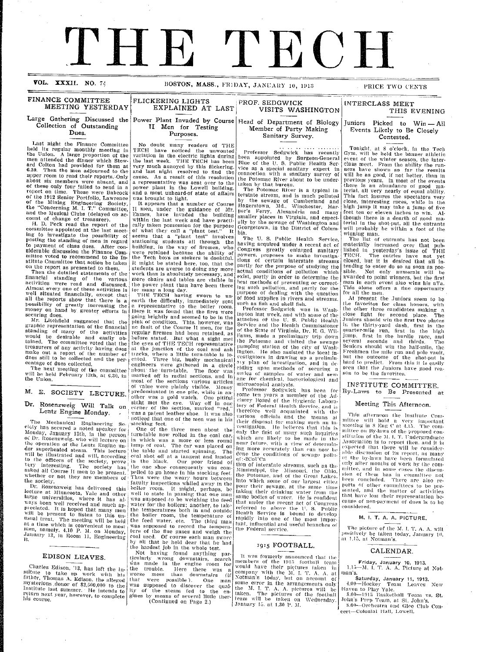# THHE TECH

#### **VOL. XXXII.**

BOSTON, MASS., FRIDAY, JANUARY 10, 1913

FINANCE COMMITTEE FLICKERING LIGHTS<br>MEETING YESTERDAY EXPLAINED AT LAST **MEETING YESTERDAY** 

## Collection of Outstanding | II Men for Testing **Dues. Purposes.**

Last night the Finance Committee  $\vert$  No doubt many readers of THE<br>held its regular monthly meeting in TECH have noticed the unwonted<br>the Union. A large proportion of the variation in the electric lights during<br>men attend

Lentz Engine Monday. The mechanical Engineering South and the interval in the case is tooking feet.<br>
The Mechanical Engineering South and the members in this also<br>
eicty has secured a noted speaker for  $\frac{1}{2}$  on the pr

Dr. Rozenzweig has delivered this well to state in passing that are<br>applying to the lecture at Minnesota, Yale and other well to state in passing that one many<br>lecture at Minnesota, Where it has always seen well received a large universities, where it has al-<br>was supposed to be weighing the feed<br>ways been well received and much ap-<br>water for the boilers; another, to take<br>preciated. It is hoped that many men<br>will be present to this under the

stitute to take up work with his father, Thomas A. Edison, the alleged Charles Edison, '13, has<br><sup>itute</sup> to take up worl father, Thomas A. Edison, the alleged that were possible ). One man<br>Invisterious donor of \$2,500,000 to the was supposed to discover the qual-Institute last summer. He intends to ity of the steam fed to the en-<br>Institute last summer. He intends to  $\begin{bmatrix} 1 \text{ly} & \text{of} & \text{the} \end{bmatrix}$  return next year, however, to complete  $\begin{bmatrix} 1 \text{y} & \text{of} & \text{the} \end{bmatrix}$  and  $\begin{$ 

 $\alpha_{\rm{max}} = 1$ 

# **Large Gathering Discussed the Power Plant Invaded by Course**

about six members were absent, and a representative was sent over to the<br>about six members were absent, and a nower plant in the Lowell building,<br>report on time. These were Babcock and a most unheard-of state of affairs<br>o

securing dues.<br>
Mr. Litchfield suggested that the pink of condition. This however, was<br>
going brightly and seemed to be in the<br>
going brightly and seemed to be in the<br>
standing of many of the activities<br>
regular fremen ha the eyes of THE TECH representative<br>at the junction of the coal and ash-<br>tracks, where a little turn-table is lo-<br>cated. Three big, husky mechanical<br>engineers were gathered in a circle<br>about the turn-table. The floor was<br>m M. E. SOCIETY LECTURE. predominated in one pile, while in an-<br>M. E. SOCIETY LECTURE. predominated in one pile, while in an-Dr. Rosenzweig Will Talk on sight met the eye. Way off in one Rosenzweig Will Talk on corner of the section, marked "red," Lentz Engine Monday;

> turn-table now rolled in the coal car,<br>in which was a more or less round<br>lump of coal. The car was placed on<br>the table and started spinning. The<br>ceal shot off at a tangent and landed<br>in the black. Our poor friend of<br>the on he of the measure and man swore<br>by all that he held dear that he had<br>the hardest job in the whole test.

The hardest job in the whole test.<br>
Not having found anything par-<br>
ticularly wrong downstairs, search<br>
was made in the engine room for has left the  $\lim_{h \to 0}$  the trouble. Here there was a items it worse mess then downstairs (if

## PROF. SEDGWICK VISITS WASHINGTON THIS EVENING **VISITS WASHINGTON** Head **of Department of Biology Member of Party Making Sanitary Survey.**

Professor Sedgwick has recently<br>been appointed by Surgeon-General<br>Blue of the U. S. Public Health Service as a special sanitary expert in connection with a sanitary survey of the Potomac River about to be under. taken by that bureau.

The Potomac River is a typical in terstate stream, and is much polluted<br>by the sewage of Cumberland and Hagerstown, Md., Winchester, Harler's Ferry, Alexandria and many smaller places in Virginia, and especi- ally by the sewage of \Vashington and Georgetown. in the District of Columbia.<br>The U.S. Public Health Service.

having acquired under a recent act of Congress greatly enlarged sanitary powers, proposes to make investiga<br>tions of certain interstate streams partly for the purpose of studying the<br>actual conditions of pollution which exist, partly in order to determine the best methods of preventing or correcting such pollution, and partly for the purpose of (lealing with the question of food supplies in rivers and streams. such as fish and shell fish.

Professor Sedgwick was in Wash-<br>ington last week, and with some of the<br>attaches of the U. S. Public Health Service and the Health Commissioner<br>of the State of Virginia, Dr. E. G. Wil-<br>liams, made a preliminary trip down<br>the Potomac and visited the sewage<br>pumping station of the city of Wash-<br>ington. He also assisted the local investigators in drawing up a preliminciding upon methods of securing a<br>selies of samples of water and sew-<br>age for chemical, bacteriological and

the them all the contracts of the contracts of the contracts. Professor Sedgwick has been for some ten years a member of the Ad-<br>visory Board of the Hygienic Laboratory of Federal Health Service, and is<br>therefore well acquainted with the therefore well acquainted with the<br>various officials and the means at<br>their disposal for making such an in-<br>vestigation. He believes that this is only the first of many such inquiries which are likely to be made in the near future, with a view of determinng more accurately than can now be done the conditions of sewage pollu-<br>qf:-2CoUCa

tion of interstate streams, such as the Mississippi, the Missouri, the Ohio.<br>the Potomac, and of the Great Lakes. nto which some of our largest cities pour their sewage, at the same time<br>taking their drinking water from the taking their drifting water from the<br>same bodies of water. He is confident<br>that under the recent act of Congress that under the recent act of Congress<br>referred to above the U. S. Public Health Service is bound to develop<br>rapidly into one of the most important, influential and useful branches of<br>the Federal service.

#### **1915** FOOTBALL.

It was formerly announced that the members of the 1915 football team<br>would have their pictures taken in<br>company with the M. I. T. A. A. at<br>Notman's today, but on account of<br>some error in the arrangements only<br>the M. I. T. A. A. pictures will be taken. The pictures of the football eam will be taken on Wednesday.<br>|anuary 15. at 1.30 P. M.

PRICE TWO CENTS

Juniors Picked to Win - All **Fvents Likely to Be Closely Contested.**

Tonight, at 8 o'clock, in the Tech<br>Gym, will be held the banner athletic<br>event of the winter season, the interclass meet. From the ability the run-<br>ners have shown so far the results will be as good, if not better, than in  $\overline{\phantom{a}}$ previous years. In most of the events<br>there is an abundance of good ma-<br>terial, all very nearly of equal ability. This fact insures the spectators very<br>close, interesting races, while in the<br>high jump it may take a jump of five feet ten or eleven inches to win. Al-<br>though there is a dearth of good mathough there is a dearth of good ma-<br>terial in the shot-put, all the entrants<br>will probably be within a foot of the will probably be within a foot of the<br>winning man.

The list of entrants has not been materially increased over that pub-<br>lished in yesterday's issue of THE TECH. The entries have not yet closed, but it is desired that all intending to enter do so as soon as pos-<br>sible. Not only numerals will be awarded to point winners, but tile first man in each event also wins his al'a. This alone offers a fine opportunity<br>for all the men.<br>. At present the Juniors seem to be

the favorites for class honors, with<br>the other three candidates making a<br>close fight for second place. The Juniors should win the first two places in the thirty-yard dash, first in the quarter-mile run, first in the high<br>jump, first in the hurdle race, and seyeral seconds and thirds. The Seniors should win the half-mile, the Freshmen the mile run and pole vault,  $\frac{1}{2}$  is the outcome of the shot-put is hard to predict. From this it is easily seen that the Juniors have good rea- SOI to be the favorites.

## INSTITUTE COMMITTEE. By-Lawvs to Be Presented at

#### Meeting This Afternoon.

This afternoon the Institute Committee will hold a very important meeting in 8 Eng C at 4.15. The com-<br>mittee on By-laws of the proposed conslitution of the 31.I. T. Undergraduate<br>Association is to report then. and it is<br>expected that there will be consider-<br>able discussion of its report, as many<br>of the by-laws have been formulated only after months of work by the comnlittee, and in some cases the discus-<br>sion of them has in committee not<br>been concluded. There are also re-<br>ports of other committees to be presented, and the matter of activities<br>that have lost their representation because of non-payment of dues is to be considered.

#### M. **I.** T. A. A. PICTURE.

The picture of the M. I. T. A. A. will positively be taken today, January 10. at 1.15. at Notinan's.

## CALENDAR.

**Friday, January 10, 1913.**<br>1.15—M. I. T. A. A. Picture at Not-<br>man's. **Friday, j.**  man's.

**Saturday, January 11, 1913. Saturday,**  4.00-Hockey Team Leaves New 4.00-Hockey<br> **Haven to Play**<br>
8.00-1915 Be

Haven to Play Yale. 8.00—1915 Basketball Team vs. St.

John's Prep Team, at St. John's 8.00-Orchestra and Glee Club Concert-Colonial Hall, Lowell.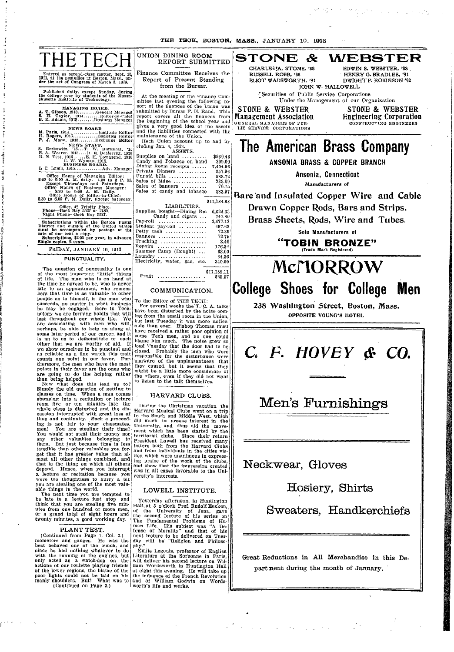THE **TI3EH, BOSTON,.** MASS., JANUARY 10. 1918

| THE<br>Entered as second-class matter, Sept. 15.<br>1911, at the postoffice at Boston, Mass., un-<br>der the act of Congress of March 3, 1879.                                                                                                                                    | UNION DINING ROOM<br>REPORT SUBMITTED<br>Finance Committee Receives the<br>Report of Present Standing                                                                                                                                                                                                   | $\boldsymbol{\mathcal{X}}$<br><b>WEBSTER</b><br><b>STONE</b><br>CHARLES A. STONE, '88<br>EDWIN S. WEBSTER. '88<br>RUSSELL ROBB, '88<br>HENRY G. BRADLEE, '91<br>ELIOT WADSWORTH, '91<br>DWIGHT P. ROBINSON '92                                                                                            |
|-----------------------------------------------------------------------------------------------------------------------------------------------------------------------------------------------------------------------------------------------------------------------------------|---------------------------------------------------------------------------------------------------------------------------------------------------------------------------------------------------------------------------------------------------------------------------------------------------------|-----------------------------------------------------------------------------------------------------------------------------------------------------------------------------------------------------------------------------------------------------------------------------------------------------------|
| Published daily, except Sunday, during<br>the college year by students of the Massa-<br>chusetts Institute of Technology.<br>MANAGING BOARD.<br>T. Gibson, 1913General Manager<br>H. Taylor, 1914 Editor-in-Chief<br>8.<br>B. E. Adams, 1915Business Manager<br><b>NEWS BOARD</b> | from the Bursar.<br>At the meeting of the Finance Com-<br>mittee last evening the following re-<br>port of the finances of the Union was<br>submitted by Bursar F. H. Rand, This<br>report covers all the finances from<br>the beginning of the school year and<br>gives a very good idea of the assets | JOHN W. HALLOWELL<br>Securities of Public Service Corporations<br>Under the Management of our Organization<br><b>STONE &amp; WEBSTER</b><br>STONE & WEBSTER<br><b>Engineering Corporation</b><br>Management Association<br>CONSTRUCTING ENGINEERS<br>GENERAL MANAGERS OF PUB-<br>LIC SERVICE CORPORATIONS |
| M. Paris, 1914Institute Editor<br>H. Rogers, 1915Societies Editor<br>P. J. Munn, 1915Exchange Editor                                                                                                                                                                              | and the liabilities connected with the<br>maintenance of the Union.<br>Hech Union account up to and in-<br>cluding Jan. 4, 1913.<br>ASSETS.                                                                                                                                                             | The American Brass Company                                                                                                                                                                                                                                                                                |
| L C. Lamb, 1915 Adv. Manager<br>Office Hours of Managing Editor: 8.40 to 9.00 A. M. daily. 1.30 to 2 P. M.                                                                                                                                                                        | Supplies on hand $\ldots, \ldots$<br>\$930.43<br>Candy and Tobacco on hand<br>209.00<br>Dining Room receipts<br>7,404.96<br>Private Dinners<br>857.96<br>Unpaid bills<br>588.72                                                                                                                         | ANSONIA BRASS & COPPER BRANCH<br>Ansonia, Connecticut                                                                                                                                                                                                                                                     |
| Except Thursdays and Saturdays.<br>Office Hours of Business Manager:<br>8.30 to 9.00 A. M. Daily.<br>Office Hours of Editor-in-Chief:<br>5.30 to 6.00 P. M. Daily, Except Saturday.                                                                                               | Sales of Mdse<br>238.89<br>Sales of banners<br>70.75<br>Sales of candy and tobacco<br>883.97<br>\$11,184.68                                                                                                                                                                                             | Manufacturers of<br>Bare and Insulated Copper Wire and Cable                                                                                                                                                                                                                                              |
| Office, 42 Trinity Piace.<br>Phone-Back Bay 5527 or 2180.<br>Night Phone-Back Bay 5527.<br>Subscriptions within the Boston Postal<br>District and outside of the United States                                                                                                    | LIABILITIES.<br>Supplies bought-Dining Rm<br>6,624.33<br>Candy and cigars<br>747.80<br>2,477.12<br>Pay-roll $\ldots \ldots \ldots \ldots \ldots$<br>Student pay-roll<br>497.62                                                                                                                          | Drawn Copper Rods, Bars and Strips.<br>Brass Sheets, Rods, Wire and Tubes.                                                                                                                                                                                                                                |
| must be accompanied by postage at the<br>rate of one cent a copy.<br>Subscriptions, \$2.00 per year, in advance,<br>Single copies. 2 cents.<br>FRIDAY, JANUARY 10, 1913                                                                                                           | Petty cash<br>72.39<br>Banners<br>72.75<br>3.40<br>Repairs<br>176.34<br>Summer Camp (Bought)<br>63.00                                                                                                                                                                                                   | Sole Manufacturers of<br>"TOBIN BRONZE"<br>(Trade Mark Registered)                                                                                                                                                                                                                                        |
| PUNCTUALITY.                                                                                                                                                                                                                                                                      | Laundry<br>34.36<br>Electricity, water, gas, etc.<br>340.00                                                                                                                                                                                                                                             | McMORROW                                                                                                                                                                                                                                                                                                  |
| The question of punctuality is one<br>of the most important "little" things<br>of life. The man who is on hand at<br>the time he agreed to be, who is never<br>late to an appointment, who remem-<br>bers that time is as valuable to other                                       | \$11,159.11<br>Profit<br>\$25.57<br>COMMUNICATION.                                                                                                                                                                                                                                                      | <b>College Shoes for College</b><br><b>Men</b>                                                                                                                                                                                                                                                            |
| people as to himself, is the man who<br>succeeds, no matter in what business<br>he may be engaged. Here in Tech-<br>nology we are forming habits that will<br>last throughout our whole life. We<br>are associating with men who will,                                            | To the Editor of THE TECH:<br>For several weeks the T. C. A. talks<br>have been disturbed by the noise com-<br>ing from the small room in the Union,<br>but last Tuesday it was more notice-                                                                                                            | 238 Washington Street, Boston, Mass.<br>OPPOSITE YOUNG'S HOTEL                                                                                                                                                                                                                                            |
| perhaps, be able to help us along at<br>some later period of our career, and it<br>is up to us to demonstrate to each<br>other that we are worthy of sid<br>- TF                                                                                                                  | able than ever. Bishop Thomas must<br>have received a rather poor opinion of<br>some Tech men, and no one could<br>blame him much. The noise grew so                                                                                                                                                    |                                                                                                                                                                                                                                                                                                           |

I I

I I

L

*C F. HIIOVEY Oc CO.*

F E tii k I b a i i II i 9 I

i

# **Men's Furnishings**

**Neckwear, Gloves**

**Hosiery, Shirts**

**Sweaters, Handkerchiefs**

- -I ' - -

I

.<br>ا

**Great Reductions in** All **Merchandise in this Department during the month of January.**

-,--- I- \_ -------

-- I -- -

perhaps, be able to help us along at some later period of our career, and it is up to us to demonstrate to each other that we are worthy of aid. If we show ourselves to be punctual and as reliable as a fine watch this trait counts one point in our favor. Furthermore, the men who have the most points in their favor are the ones who are going to do the helping rather than being helped. Now what does this lead up to?

Simply the old question of getting to classes on time. When a man comes stamping into a recitation or lecture room five or ten minutes late the whole class is disturbed and the dis-cussion interrupted with great loss of time and continuity. Such a proceeding is not fair to your classmates, men! You are stealing their time! You would not steal their money not<br>any other valuables belonging to<br>them. But just because time is less tangible than other valuables you forget that it has greater value than al-most all other things combined, and that is the thing on which all others depend. Hence, when you interrupt<br>a lecture or recitation because you<br>were too thoughtless to hurry a bit you are stealing one of the most valuable things in the world. The next time you are tempted to

be late to a lecture just stop and think that you are stealing five minutes from one hundred or more men,<br>or a grand total of eight hours and<br>twenty minutes, a good working day.

#### PLANT TEST.

(Continued from Page 1, Col. 2.) mometers and gauges. He was the best behaved one of the bunch, and<br>since he had nothing whatever to do<br>with the running of the engines, but<br>only acted as a watch-dog on the<br>actions of our roulette playing friends of the lower regions, the blame of the poor lights could not be laid on his manly shoulders. But! What was to (Continued on Page 3.)

some Tech men, and no one could blame him much. The noise grew so loud Tuesday that the door had to be closed. Probably the men who were responsible for the disturbance were unaware of the unpleasantness that Ihey caused, but it seems that they might be a little more considerate of the others, even if they did not want to listen to the talk themselves.

#### HARVARD CLUBS.

During the Christmas vacation the Harvard Musical Clubs went on a trip to the South and Middle West, which did much to arouse interest in the University, and thus aid the move- ment which has been started by the territorial clubs. Since their return President Lowell has received many letters both from the Harvard Clubs<br>and from individuals in the cities vis-<br>ited which were unanimous in express-<br>ing praise of the work of the clubs,<br>and show that the impression created was in all cases favorable to the Uni-versity's interests.

### LOWELL INSTITUTE.

Yesterday afternoon, in Huntington Hall, at 5 o'clock, Prof. Rudolf Eucken, of the University of Jena, gave the second lecture of his series on The Fundamental Problems of Hu- man Life. His subject was "A De. fense of Morality" and that of his

next lecture to be delivered on Tues-<br>day will be "Religion and Philoso-<br>phy."<br>Emile Legouis, professor of English<br>Literature at the Sorbonne in Paris,<br>will deliver his second lecture on Wil-<br>tiam Wordsworth in Huntington the influence of the French Revolution and of William Godwin on Words-worth's life and works. **1**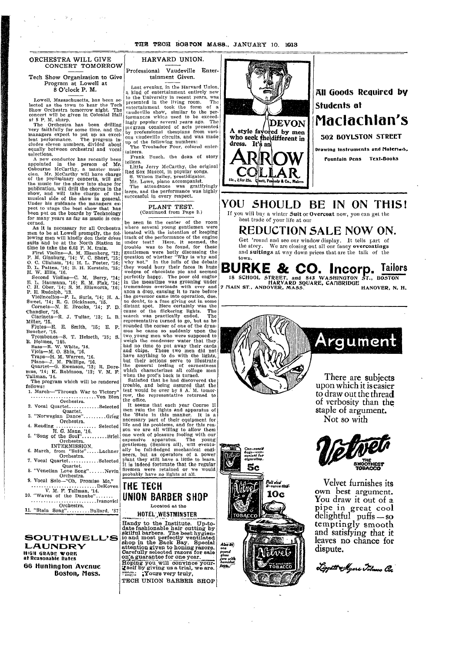I

### ORCHESTRA WILL GIVE CONCERT TOMORROW

Tech Show Organization to Give **Program at Lowell at** 8 O'clock P. M.

Lowell, Massachusetts, has been se lected as the town to hear the Teel lected as the town to hear the Tech<br>Show Orchestra tomorrow night. The concert will be given in Colonial Hall at 8 P. M. sharp.

I

The Orchestra has been drilling very faithfully for some time, and the managers expect to put up an excel managers expect to put up an excel-<br>lent performance. The program includes eleven numbers, divided about<br>equally between orchestral and vocal selections. tl

A new conductor has recently been appointed in the person of Mr, Osbourne McCarthy, a. master musician. Mr. McCarthy will have charge<br>of the preliminary concerts, will get the music for the show into shape for publication, will drill the chorus in the show, and will take charge of the musical side of the show in general. Under his guidance the managers exbeen put on the boards by Technology for many years as far as music is concerned.<br>As it is necessary for all Orchestra l) ie<br>|<br>|<br>|  $\left| \rule{0pt}{10pt} \right|$ 1. pect to stage the best show that has

As it is necessary for all Orchestra men to be at Lowell promptly, the fol-lowing men will kindly don their dress suits and be at the North Station in l.<br>I  $\cdot$ 

time to take the 6.03 P. M. train. First Violins-A. M. Eisenberg, '12; P. M. Ginsburg, '14; V. C. Short, '15;

I

O. C. Clisbam, '14; H. L. Foster, '16; D. L. Patten, '16; B. H. Kerstein, '15; H. W. Ellis, '16. Second Violins-C. M. Berry, '14;

E. L. Haumann, '16; E. M. Fisk, '14; C. H. Ober, '14; S. M. Ellsworth, '16; P. E. Rudolph, '13. Violincellos-F. L. Surls, '14; H. A. S'weet, '14; R. G. Dickinson, '15. Cornets-N. E. Brooks, '14; F. D.

Chandler, '16. Clarinets-R. J. Tullar, '13; L. B. Miller, '15.

Flutes-E. E. Smith, '15; E. P. Boucher, '16.

Trombones-S. T. Helseth, '15; S.<br>
R. Holmes, '145.<br>
Bass-R. W. White, '14.<br>
Viola-M. O. Shin, '16.<br>
Traps--H. M. Warren, '16.<br>
Piano--J. M. Phillips, '16.<br>
Quartet-G. Ewenson, '13; R. Dore-

mus, '14; K. Robinson, '12; V. M. F. Tallman, '14. The program which will be rendered

follows: 1. March-"Through War to Victory" .......................... Von Blon Orchestra.<br>Orchestra.

2. Vocal Quartet............Selected Quartet. 3. "Norwegian Dance"......... Grieg

Orchestra. 4. Reading ................. Selected

INTERMISSION.

6. March, from "Suite" .... Lachner Orchestra.

7. Vocal Quartet............Selected Quartet.

8. "Venetian Love Song". .... Nevin Orchestra.

I I i |<br>|

9. Vocal Solo-"Oh, Promise Me," V. M. F. Tallman, '14.

10. "Waves of the Danube"... ...Ivanovici

Orchestra. 11. "Stein Song"......... Bullard, '87

**SOUTH WELL'S LAUNDRY HIGH GRADE WORi at Reasonable Rates 66 Huntington Avenue Boston, Mass.**

HARVARD UNION.

Professional Vaudeville Entertainment Given.

Last evening, in the Harvard Union, a kind of entertainment entirely new to the University in recent years, was presented in the living room. The entertainment took the form of a e vaudeville show, similar to the performances which used to be exceedingly popular several years ago. The pregram consisted of acts presented by professional thespians from vari- ous vaudeville circuits, and was made **the following numbers:**<br>The Troubador Four, colored enter-

tainers. Frank Pusch, the dean of story

tellers. Little Jerry McCarthy, the original Red Sox Mascot, in popular songs. S. Wilson Bailey, prestidigator. Mr. Lowe, piano accompanist.

The attendance was gratifyingly large, and the performance was highly successful in every respect.

> PLANT TEST. (Continued from Page 2.)

be seen in the center of the room where several young gentlemen were located with the intention of keeping track of the performance of the engine under test? Here, it seemed, the trouble was to be found, for these gentlemen were hotly discussing the question of whether "Why is why and why not." In the lulls of the debate they would bury their faces in huge wedges of chocolate pie and seemed perfectly happy. The poor old engine in the meantime was groaning under tremendous overloads with ever and anon a drop, causing it to race before the governor came into operation, due, no doubt, to a fuse giving out in some distant spot. Here certainly was the cause of the flickering lights. The search was practically ended. The representative turned to go, but as he rounded the corner of one of the dyna- mos he came so suddenly upon the two young men who were supposed to weigh the condenser water that they had no time to put away their cards and chips. These two men did not have anything to do with the lights, but their actions serve to illustrate the general feeling of earnestness which characterizes all college men when the prof's back is turned. when the prof's back is turned.<br>Satisfied that he had discovered the

trouble, and being assured that the test would be over by 8 A.' M. tomorrow, the representative returned to the office.<br>It seems that each year Course II

H. G. Mann, '16. 5. "Song of the Soul"..........B riel Orchestra. life and its problems, and for this rea- son we are all willing to allow them one week of pleasure fooling with our expensive apparatus. The young It seems that cash year Course II<br>men ruin the lights and apparatus of<br>the 'Stute in this manner. It is a necessary part of their equipment for gentlemen (Seniors all), will eventually be full-fledged mechanical engineers, but as operators of a power plant they still have a little to learn. It is indeed fortunate that the regular firemen were retained or we would probably have no lights at all. *'I*

## **THE TECH UNION BARBER SHOP** Located at the

HOTEL;WESTMINSTER

Handy to the Institute. Up-to- date fashionable hair cutting by skilful barbers. The best hygien- ic and most perfectly ventilated i shop in the Back Bay. Special attention given to honing razors. Carefully selected razors for sale I I I ดมด อ<br>one<br>glass<br>glass  $\overline{0}$ a guarantee for one year. jars<br>jars with<br>tops Hoping you will convince your-<br>Zself by giving us a trial, we are. -:-' ;Yours very truly, **TECH UNION BARBER** SHOP



# **All Goods Reqluired bV Students at** A style favored by men **Maclachlan's ent in 502 BOYLSTON STREET**

**\_\_ . Drawing Instruments and Materims, fountain Pens Text-Books**

**YOU SHOULD BE IN ON THISI** If vou will buy a winter **Suit** or **Overcoat** now, you can get the

best trade of your life at our

## **REDUCTION SALE NOW ON.**

Get 'round and see our window display. It tells part of the story. We are closing out all our fancy overcoatings and suitings at way down prices that are the talk of the town.

**BURKE & CO. Incorp. Tailors** 18 SCHOOL STREET, **and 843 WASHINGTON ST., BOSTON HARVARD SQUARE, CAFIBRIDGE 7 nlAIN ST., ANDOVER, MASS. HANOVER, N. H.**



There are subjects upon which it is easier **to draw out the thread**

**of verbosity than the staple of argument. Not so with**



**Velvet furnishes its** You draw it out of a **pipe in great cool**  $\operatorname{delightful}$  puffs -- s **temptingly smooth and satisfying that it leaves no chance for dispute.**





 $\sim$ 

Also be

*Chosounce*<br>bags--con-<br>penient for<br>cigarettes 5c